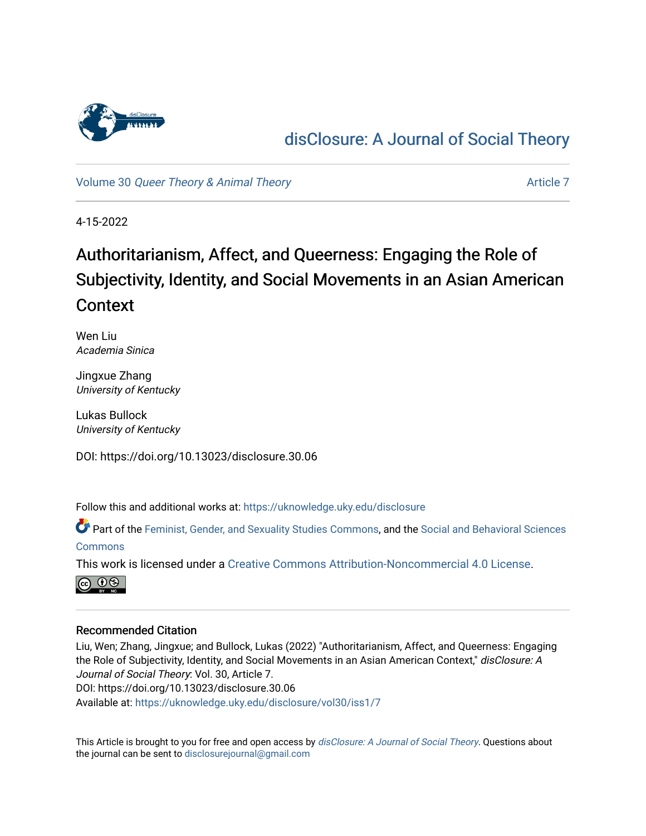

# [disClosure: A Journal of Social Theory](https://uknowledge.uky.edu/disclosure)

Volume 30 [Queer Theory & Animal Theory](https://uknowledge.uky.edu/disclosure/vol30) [Article 7](https://uknowledge.uky.edu/disclosure/vol30/iss1/7) Article 7

4-15-2022

# Authoritarianism, Affect, and Queerness: Engaging the Role of Subjectivity, Identity, and Social Movements in an Asian American Context

Wen Liu Academia Sinica

Jingxue Zhang University of Kentucky

Lukas Bullock University of Kentucky

DOI: https://doi.org/10.13023/disclosure.30.06

Follow this and additional works at: [https://uknowledge.uky.edu/disclosure](https://uknowledge.uky.edu/disclosure?utm_source=uknowledge.uky.edu%2Fdisclosure%2Fvol30%2Fiss1%2F7&utm_medium=PDF&utm_campaign=PDFCoverPages)

Part of the [Feminist, Gender, and Sexuality Studies Commons](http://network.bepress.com/hgg/discipline/559?utm_source=uknowledge.uky.edu%2Fdisclosure%2Fvol30%2Fiss1%2F7&utm_medium=PDF&utm_campaign=PDFCoverPages), and the [Social and Behavioral Sciences](http://network.bepress.com/hgg/discipline/316?utm_source=uknowledge.uky.edu%2Fdisclosure%2Fvol30%2Fiss1%2F7&utm_medium=PDF&utm_campaign=PDFCoverPages)  **[Commons](http://network.bepress.com/hgg/discipline/316?utm_source=uknowledge.uky.edu%2Fdisclosure%2Fvol30%2Fiss1%2F7&utm_medium=PDF&utm_campaign=PDFCoverPages)** 

This work is licensed under a [Creative Commons Attribution-Noncommercial 4.0 License](https://creativecommons.org/licenses/by-nc/4.0/).



#### Recommended Citation

Liu, Wen; Zhang, Jingxue; and Bullock, Lukas (2022) "Authoritarianism, Affect, and Queerness: Engaging the Role of Subjectivity, Identity, and Social Movements in an Asian American Context," disClosure: A Journal of Social Theory: Vol. 30, Article 7. DOI: https://doi.org/10.13023/disclosure.30.06 Available at: [https://uknowledge.uky.edu/disclosure/vol30/iss1/7](https://uknowledge.uky.edu/disclosure/vol30/iss1/7?utm_source=uknowledge.uky.edu%2Fdisclosure%2Fvol30%2Fiss1%2F7&utm_medium=PDF&utm_campaign=PDFCoverPages)

This Article is brought to you for free and open access by [disClosure: A Journal of Social Theory](https://uknowledge.uky.edu/disclosure). Questions about the journal can be sent to [disclosurejournal@gmail.com](mailto:disclosurejournal@gmail.com)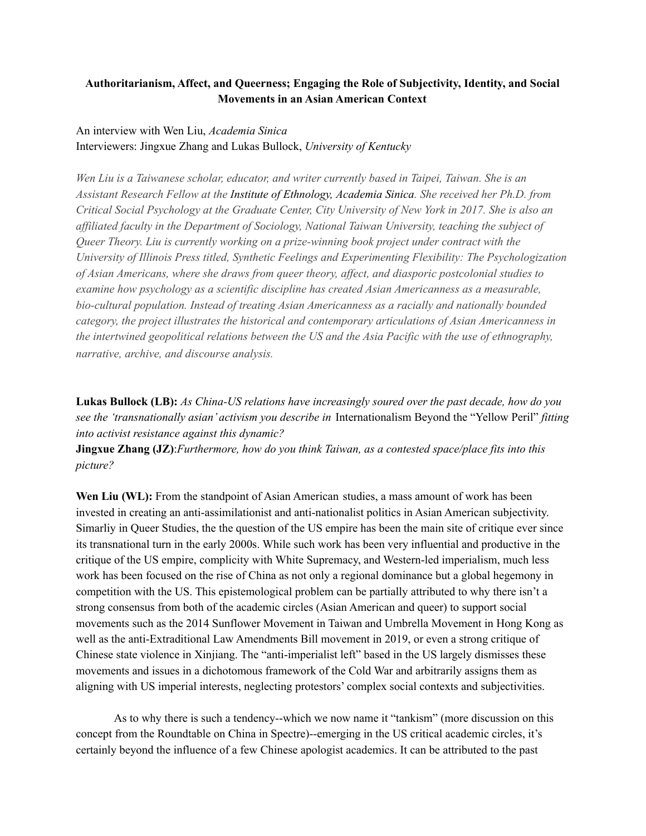### **Authoritarianism, Affect, and Queerness; Engaging the Role of Subjectivity, Identity, and Social Movements in an Asian American Context**

## An interview with Wen Liu, *Academia Sinica* Interviewers: Jingxue Zhang and Lukas Bullock, *University of Kentucky*

*Wen Liu is a Taiwanese scholar, educator, and writer currently based in Taipei, Taiwan. She is an Assistant Research Fellow at the [I](https://www.ioe.sinica.edu.tw/Content/Researcher/content.aspx?Fid=530167136243516715&MSID=1037405740336134032&MenuID=530167136406372131&SiteID=530167135246736660)nstitute of Ethnology, Academia Sinica. She received her Ph.D. from* Critical Social Psychology at the Graduate Center, City University of New York in 2017. She is also an *af iliated faculty in the Department of Sociology, National Taiwan University, teaching the subject of Queer Theory. Liu is currently working on a prize-winning book project under contract with the University of Illinois Press titled, Synthetic Feelings and Experimenting Flexibility: The Psychologization of Asian Americans, where she draws from queer theory, af ect, and diasporic postcolonial studies to examine how psychology as a scientific discipline has created Asian Americanness as a measurable, bio-cultural population. Instead of treating Asian Americanness as a racially and nationally bounded category, the project illustrates the historical and contemporary articulations of Asian Americanness in the intertwined geopolitical relations between the US and the Asia Pacific with the use of ethnography, narrative, archive, and discourse analysis.*

**Lukas Bullock (LB):** *As China-US relations have increasingly soured over the past decade, how do you see the 'transnationally asian' activism you describe in* Internationalism Beyond the "Yellow Peril" *fitting into activist resistance against this dynamic?*

**Jingxue Zhang (JZ)**:*Furthermore, how do you think Taiwan, as a contested space/place fits into this picture?*

**Wen Liu (WL):** From the standpoint of Asian American studies, a mass amount of work has been invested in creating an anti-assimilationist and anti-nationalist politics in Asian American subjectivity. Simarliy in Queer Studies, the the question of the US empire has been the main site of critique ever since its transnational turn in the early 2000s. While such work has been very influential and productive in the critique of the US empire, complicity with White Supremacy, and Western-led imperialism, much less work has been focused on the rise of China as not only a regional dominance but a global hegemony in competition with the US. This epistemological problem can be partially attributed to why there isn't a strong consensus from both of the academic circles (Asian American and queer) to support social movements such as the 2014 Sunflower Movement in Taiwan and Umbrella Movement in Hong Kong as well as the anti-Extraditional Law Amendments Bill movement in 2019, or even a strong critique of Chinese state violence in Xinjiang. The "anti-imperialist left" based in the US largely dismisses these movements and issues in a dichotomous framework of the Cold War and arbitrarily assigns them as aligning with US imperial interests, neglecting protestors' complex social contexts and subjectivities.

As to why there is such a tendency--which we now name it "tankism" (more discussion on this concept from the Roundtable on China in Spectre)--emerging in the US critical academic circles, it's certainly beyond the influence of a few Chinese apologist academics. It can be attributed to the past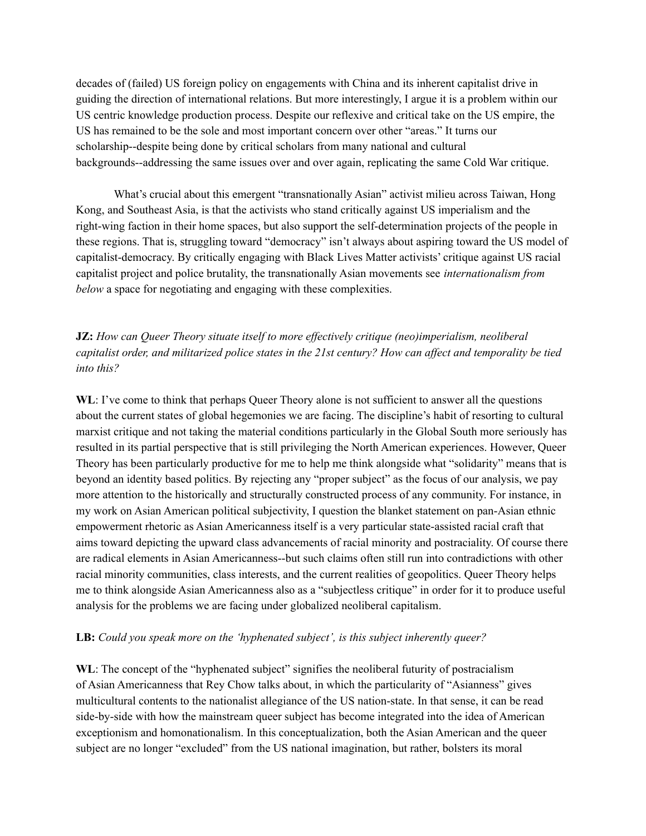decades of (failed) US foreign policy on engagements with China and its inherent capitalist drive in guiding the direction of international relations. But more interestingly, I argue it is a problem within our US centric knowledge production process. Despite our reflexive and critical take on the US empire, the US has remained to be the sole and most important concern over other "areas." It turns our scholarship--despite being done by critical scholars from many national and cultural backgrounds--addressing the same issues over and over again, replicating the same Cold War critique.

What's crucial about this emergent "transnationally Asian" activist milieu across Taiwan, Hong Kong, and Southeast Asia, is that the activists who stand critically against US imperialism and the right-wing faction in their home spaces, but also support the self-determination projects of the people in these regions. That is, struggling toward "democracy" isn't always about aspiring toward the US model of capitalist-democracy. By critically engaging with Black Lives Matter activists' critique against US racial capitalist project and police brutality, the transnationally Asian movements see *internationalism from below* a space for negotiating and engaging with these complexities.

# **JZ:** *How can Queer Theory situate itself to more ef ectively critique (neo)imperialism, neoliberal* capitalist order, and militarized police states in the 21st century? How can affect and temporality be tied *into this?*

WL: I've come to think that perhaps Queer Theory alone is not sufficient to answer all the questions about the current states of global hegemonies we are facing. The discipline's habit of resorting to cultural marxist critique and not taking the material conditions particularly in the Global South more seriously has resulted in its partial perspective that is still privileging the North American experiences. However, Queer Theory has been particularly productive for me to help me think alongside what "solidarity" means that is beyond an identity based politics. By rejecting any "proper subject" as the focus of our analysis, we pay more attention to the historically and structurally constructed process of any community. For instance, in my work on Asian American political subjectivity, I question the blanket statement on pan-Asian ethnic empowerment rhetoric as Asian Americanness itself is a very particular state-assisted racial craft that aims toward depicting the upward class advancements of racial minority and postraciality. Of course there are radical elements in Asian Americanness--but such claims often still run into contradictions with other racial minority communities, class interests, and the current realities of geopolitics. Queer Theory helps me to think alongside Asian Americanness also as a "subjectless critique" in order for it to produce useful analysis for the problems we are facing under globalized neoliberal capitalism.

#### **LB:** *Could you speak more on the 'hyphenated subject', is this subject inherently queer?*

**WL**: The concept of the "hyphenated subject" signifies the neoliberal futurity of postracialism of Asian Americanness that Rey Chow talks about, in which the particularity of "Asianness" gives multicultural contents to the nationalist allegiance of the US nation-state. In that sense, it can be read side-by-side with how the mainstream queer subject has become integrated into the idea of American exceptionism and homonationalism. In this conceptualization, both the Asian American and the queer subject are no longer "excluded" from the US national imagination, but rather, bolsters its moral